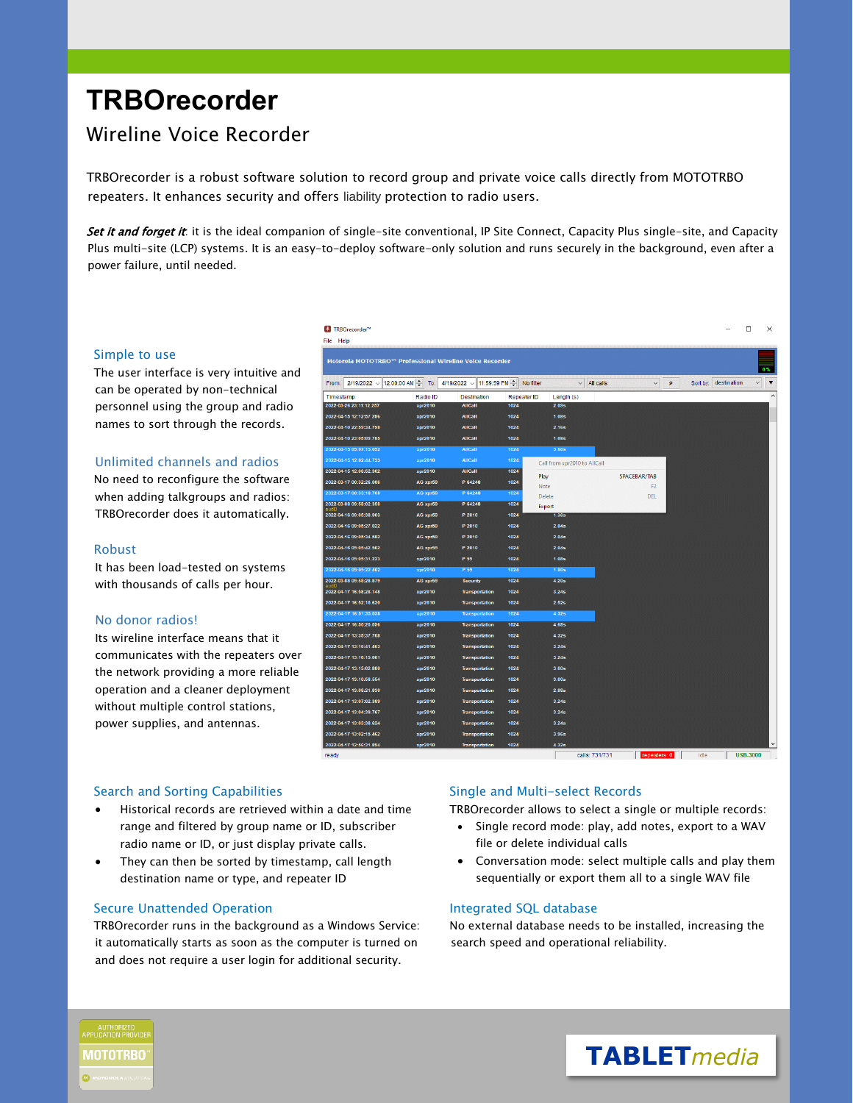# **TRBOrecorder**

# Wireline Voice Recorder

TRBOrecorder is a robust software solution to record group and private voice calls directly from MOTOTRBO repeaters. It enhances security and offers liability protection to radio users.

<sup>1</sup>TRBOrecorder<sup>®</sup>

Set it and forget it: it is the ideal companion of single-site conventional, IP Site Connect, Capacity Plus single-site, and Capacity Plus multi-site (LCP) systems. It is an easy-to-deploy software-only solution and runs securely in the background, even after a power failure, until needed.

#### Simple to use

The user interface is very intuitive and can be operated by non-technical personnel using the group and radio names to sort through the records.

## Unlimited channels and radios

No need to reconfigure the software when adding talkgroups and radios: TRBOrecorder does it automatically.

#### Robust

It has been load-tested on systems with thousands of calls per hour.

#### No donor radios!

Its wireline interface means that it communicates with the repeaters over the network providing a more reliable operation and a cleaner deployment without multiple control stations, power supplies, and antennas.

| ile Help                                                |          |                                 |             |                   |                              |                |   |          |             |                                         |              |
|---------------------------------------------------------|----------|---------------------------------|-------------|-------------------|------------------------------|----------------|---|----------|-------------|-----------------------------------------|--------------|
| Motorola MOTOTRBO™ Professional Wireline Voice Recorder |          |                                 |             |                   |                              |                |   |          |             | 0%                                      |              |
| 2/19/2022 / 12:00:00 AM<br>From:                        | To:      | 11:59:59 PM<br>4/19/2022 $\sim$ |             | No filter         | All calls<br>$\checkmark$    | $\checkmark$   | p | Sort by: | destination | $\overline{\mathbf{v}}$<br>$\checkmark$ |              |
| Timestamp                                               | Radio ID | <b>Destination</b>              | Repeater ID | Length (s)        |                              |                |   |          |             |                                         | $\hat{}$     |
| 2022-03-26 23:11:12.257                                 | xpr2010  | <b>AllCall</b>                  | 1024        | 2.09s             |                              |                |   |          |             |                                         |              |
| 2022-04-15 12:12:57.286                                 | xpr2010  | <b>AllCall</b>                  | 1024        | 1.08 <sub>5</sub> |                              |                |   |          |             |                                         |              |
| 2022-04-10 22:59:34.798                                 | xpr2010  | <b>AllCall</b>                  | 1024        | 2.16s             |                              |                |   |          |             |                                         |              |
| 2022-04-10 23:05:09.785                                 | xpr2010  | <b>AllCall</b>                  | 1024        | 1.08 <sub>5</sub> |                              |                |   |          |             |                                         |              |
| 2022-04-15 09:07:15.092                                 | xpr2010  | AllCall                         | 1024        | 3.60s             |                              |                |   |          |             |                                         |              |
| 2022-04-15 12:02:44.733                                 | xpr2010  | <b>AllCall</b>                  | 1024        |                   | Call from xpr2010 to AllCall |                |   |          |             |                                         |              |
| 2022-04-15 12:08:52.302                                 | xpr2010  | <b>AllCall</b>                  | 1024        | Play              |                              | SPACEBAR/TAB   |   |          |             |                                         |              |
| 2022-03-17 00:32:26.086                                 | AG xpr59 | P 64248                         | 1024        | Note              |                              | F <sub>2</sub> |   |          |             |                                         |              |
| 2022-03-17 00:33:18.708                                 | AG xpr59 | P 64248                         | 1024        | Delete            |                              | <b>DEL</b>     |   |          |             |                                         |              |
| 2022-03-08 09:58:02.358                                 | AG xpr59 | P 64248                         | 1024        | Export            |                              |                |   |          |             |                                         |              |
| 2022-04-16 09:05:38.903                                 | AG xpr59 | P 2010                          | 1024        | 1.38 <sub>5</sub> |                              |                |   |          |             |                                         |              |
| 2022-04-16 09:05:27.022                                 | AG xpr59 | P 2010                          | 1024        | 2.04s             |                              |                |   |          |             |                                         |              |
| 2022-04-16 09:05:34.582                                 | AG xpr59 | P 2010                          | 1024        | 2.04s             |                              |                |   |          |             |                                         |              |
| 2022-04-16 09:05:42.562                                 | AG xpr59 | P 2010                          | 1024        | 2.04s             |                              |                |   |          |             |                                         |              |
| 2022-04-16 09:05:31.223                                 | xpr2010  | P 59                            | 1024        | <b>1.08s</b>      |                              |                |   |          |             |                                         |              |
| 2022-04-16 09:05:22.462                                 | xpr2010  | P 59                            | 1024        | 1.80s             |                              |                |   |          |             |                                         |              |
| 2022-03-08 09:58:28.879                                 | AG xpr59 | <b>Security</b>                 | 1024        | 4.20s             |                              |                |   |          |             |                                         |              |
| 2022-04-17 16:58:28.148                                 | xpr2010  | <b>Transportation</b>           | 1024        | 3.24s             |                              |                |   |          |             |                                         |              |
| 2022-04-17 16:52:10.620                                 | xpr2010  | <b>Transportation</b>           | 1024        | 2.52s             |                              |                |   |          |             |                                         |              |
| 2022-04-17 16:51:35.038                                 | xpr2010  | <b>Transportation</b>           | 1024        | 4.32s             |                              |                |   |          |             |                                         |              |
| 2022-04-17 16:50:20.096                                 | xpr2010  | <b>Transportation</b>           | 1024        | 4.685             |                              |                |   |          |             |                                         |              |
| 2022-04-17 13:35:37.708                                 | xpr2010  | <b>Transportation</b>           | 1024        | 4.32s             |                              |                |   |          |             |                                         |              |
| 2022-04-17 13:16:41.463                                 | xpr2010  | <b>Transportation</b>           | 1024        | 3.24 <sub>5</sub> |                              |                |   |          |             |                                         |              |
| 2022-04-17 13:16:15.061                                 | xpr2010  | <b>Transportation</b>           | 1024        | 3.24 <sub>5</sub> |                              |                |   |          |             |                                         |              |
| 2022-04-17 13:15:02.880                                 | xpr2010  | <b>Transportation</b>           | 1024        | 3.60 <sub>5</sub> |                              |                |   |          |             |                                         |              |
| 2022-04-17 13:10:58.554                                 | xpr2010  | <b>Transportation</b>           | 1024        | 3.60 <sub>5</sub> |                              |                |   |          |             |                                         |              |
| 2022-04-17 13:08:21.830                                 | xpr2010  | <b>Transportation</b>           | 1024        | 2.88 <sub>5</sub> |                              |                |   |          |             |                                         |              |
| 2022-04-17 13:07:02.389                                 | xpr2010  | <b>Transportation</b>           | 1024        | 3.24s             |                              |                |   |          |             |                                         |              |
| 2022-04-17 13:04:39.767                                 | xpr2010  | <b>Transportation</b>           | 1024        | 3.24s             |                              |                |   |          |             |                                         |              |
| 2022-04-17 13:03:38.624                                 | xpr2010  | <b>Transportation</b>           | 1024        | 3.24s             |                              |                |   |          |             |                                         |              |
| 2022-04-17 13:02:15.462                                 | xpr2010  | <b>Transportation</b>           | 1024        | 3.96s             |                              |                |   |          |             |                                         |              |
| 2022-04-17 12:56:31.894                                 | xpr2010  | <b>Transportation</b>           | 1024        | 4.32s             |                              |                |   |          |             |                                         | $\checkmark$ |
| ready                                                   |          |                                 |             |                   | calls: 731/731               | reneaters: 0   |   | idle     |             | <b>USB-3000</b>                         |              |

#### Search and Sorting Capabilities

- Historical records are retrieved within a date and time range and filtered by group name or ID, subscriber radio name or ID, or just display private calls.
- They can then be sorted by timestamp, call length destination name or type, and repeater ID

#### Secure Unattended Operation

TRBOrecorder runs in the background as a Windows Service: it automatically starts as soon as the computer is turned on and does not require a user login for additional security.

## Single and Multi-select Records

TRBOrecorder allows to select a single or multiple records:

- Single record mode: play, add notes, export to a WAV file or delete individual calls
- Conversation mode: select multiple calls and play them sequentially or export them all to a single WAV file

#### Integrated SQL database

No external database needs to be installed, increasing the search speed and operational reliability.





 $\Box$